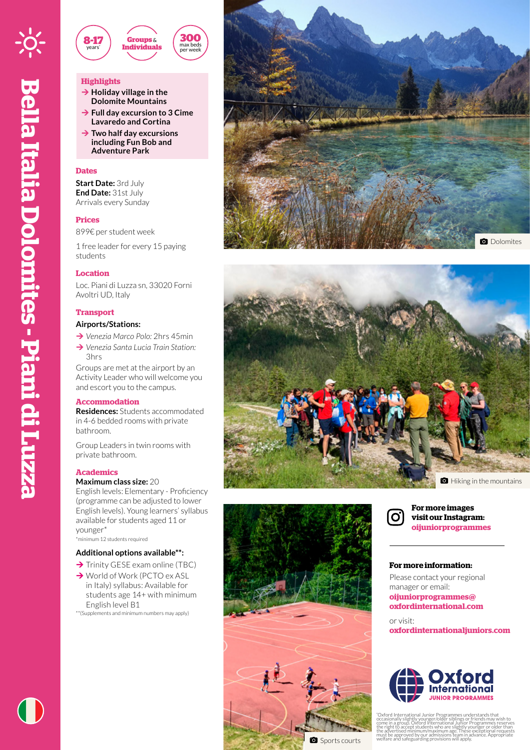

# **Highlights**

- **→ Holiday village in the Dolomite Mountains**
- **→ Full day excursion to 3 Cime Lavaredo and Cortina**

**300** max beds per week

**→ Two half day excursions including Fun Bob and Adventure Park** 

# **Dates**

**Start Date:** 3rd July **End Date:** 31st July Arrivals every Sunday

## **Prices**

899€ per student week

1 free leader for every 15 paying students

### **Location**

Loc. Piani di Luzza sn, 33020 Forni Avoltri UD, Italy

# **Transport**

#### **Airports/Stations:**

- ¼ *Venezia Marco Polo:* 2hrs 45min
- **→ Venezia Santa Lucia Train Station:** 3hrs

Groups are met at the airport by an Activity Leader who will welcome you and escort you to the campus.

# **Accommodation**

**Residences:** Students accommodated in 4-6 bedded rooms with private bathroom.

Group Leaders in twin rooms with private bathroom.

### **Academics**

# **Maximum class size:** 20

English levels: Elementary - Proficiency (programme can be adjusted to lower English levels). Young learners' syllabus available for students aged 11 or younger\*

\*minimum 12 students required

# **Additional options available\*\*:**

- $\rightarrow$  Trinity GESE exam online (TBC)
- → World of Work (PCTO ex ASL in Italy) syllabus: Available for students age 14+ with minimum English level B1
- \*\*(Supplements and minimum numbers may apply)









**For more images visit our Instagram: oijuniorprogrammes**

## **For more information:**

Please contact your regional manager or email: **oijuniorprogrammes@ oxfordinternational.com**

or visit: **oxfordinternationaljuniors.com**



\* Oxford International Junior Programmes understands that occasionally slightly younger/older siblings or friends may wish to come in a group. Oxford International Junior Programme's reserves<br>the right to accept students who are slightly younger or older than<br>the advertised minimum/maximum age. These exceptional requests<br>must be approyed by our a